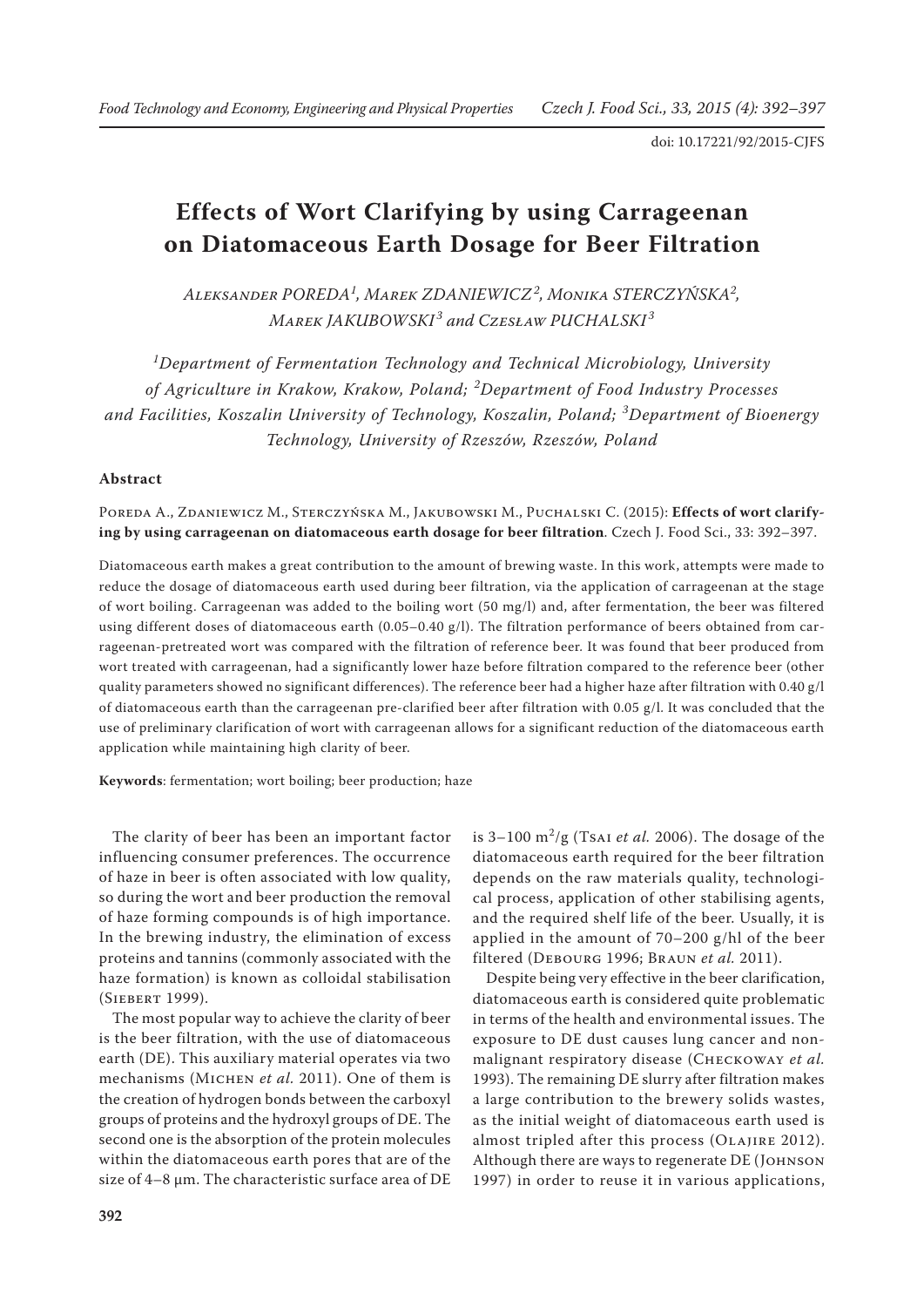# **Effects of Wort Clarifying by using Carrageenan on Diatomaceous Earth Dosage for Beer Filtration**

*Aleksander POREDA<sup>1</sup> , Marek ZDANIEWICZ<sup>2</sup> , Monika STERCZYŃSKA2 , Marek JAKUBOWSKI <sup>3</sup> and Czesław PUCHALSKI <sup>3</sup>*

*1 Department of Fermentation Technology and Technical Microbiology, University of Agriculture in Krakow, Krakow, Poland; <sup>2</sup> Department of Food Industry Processes and Facilities, Koszalin University of Technology, Koszalin, Poland; <sup>3</sup> Department of Bioenergy Technology, University of Rzeszów, Rzeszów, Poland*

### **Abstract**

Poreda A., Zdaniewicz M., Sterczyńska M., Jakubowski M., Puchalski C. (2015): **Effects of wort clarifying by using carrageenan on diatomaceous earth dosage for beer filtration**. Czech J. Food Sci., 33: 392–397.

Diatomaceous earth makes a great contribution to the amount of brewing waste. In this work, attempts were made to reduce the dosage of diatomaceous earth used during beer filtration, via the application of carrageenan at the stage of wort boiling. Carrageenan was added to the boiling wort (50 mg/l) and, after fermentation, the beer was filtered using different doses of diatomaceous earth (0.05–0.40 g/l). The filtration performance of beers obtained from carrageenan-pretreated wort was compared with the filtration of reference beer. It was found that beer produced from wort treated with carrageenan, had a significantly lower haze before filtration compared to the reference beer (other quality parameters showed no significant differences). The reference beer had a higher haze after filtration with 0.40 g/l of diatomaceous earth than the carrageenan pre-clarified beer after filtration with 0.05 g/l. It was concluded that the use of preliminary clarification of wort with carrageenan allows for a significant reduction of the diatomaceous earth application while maintaining high clarity of beer.

**Keywords**: fermentation; wort boiling; beer production; haze

The clarity of beer has been an important factor influencing consumer preferences. The occurrence of haze in beer is often associated with low quality, so during the wort and beer production the removal of haze forming compounds is of high importance. In the brewing industry, the elimination of excess proteins and tannins (commonly associated with the haze formation) is known as colloidal stabilisation (Siebert 1999).

The most popular way to achieve the clarity of beer is the beer filtration, with the use of diatomaceous earth (DE). This auxiliary material operates via two mechanisms (MICHEN *et al.* 2011). One of them is the creation of hydrogen bonds between the carboxyl groups of proteins and the hydroxyl groups of DE. The second one is the absorption of the protein molecules within the diatomaceous earth pores that are of the size of 4–8 µm. The characteristic surface area of DE

is 3–100 m<sup>2</sup> /g (Tsai *et al.* 2006). The dosage of the diatomaceous earth required for the beer filtration depends on the raw materials quality, technological process, application of other stabilising agents, and the required shelf life of the beer. Usually, it is applied in the amount of 70–200 g/hl of the beer filtered (Debourg 1996; Braun *et al.* 2011).

Despite being very effective in the beer clarification, diatomaceous earth is considered quite problematic in terms of the health and environmental issues. The exposure to DE dust causes lung cancer and nonmalignant respiratory disease (Checkoway *et al.* 1993). The remaining DE slurry after filtration makes a large contribution to the brewery solids wastes, as the initial weight of diatomaceous earth used is almost tripled after this process (OLAJIRE 2012). Although there are ways to regenerate DE (JOHNSON 1997) in order to reuse it in various applications,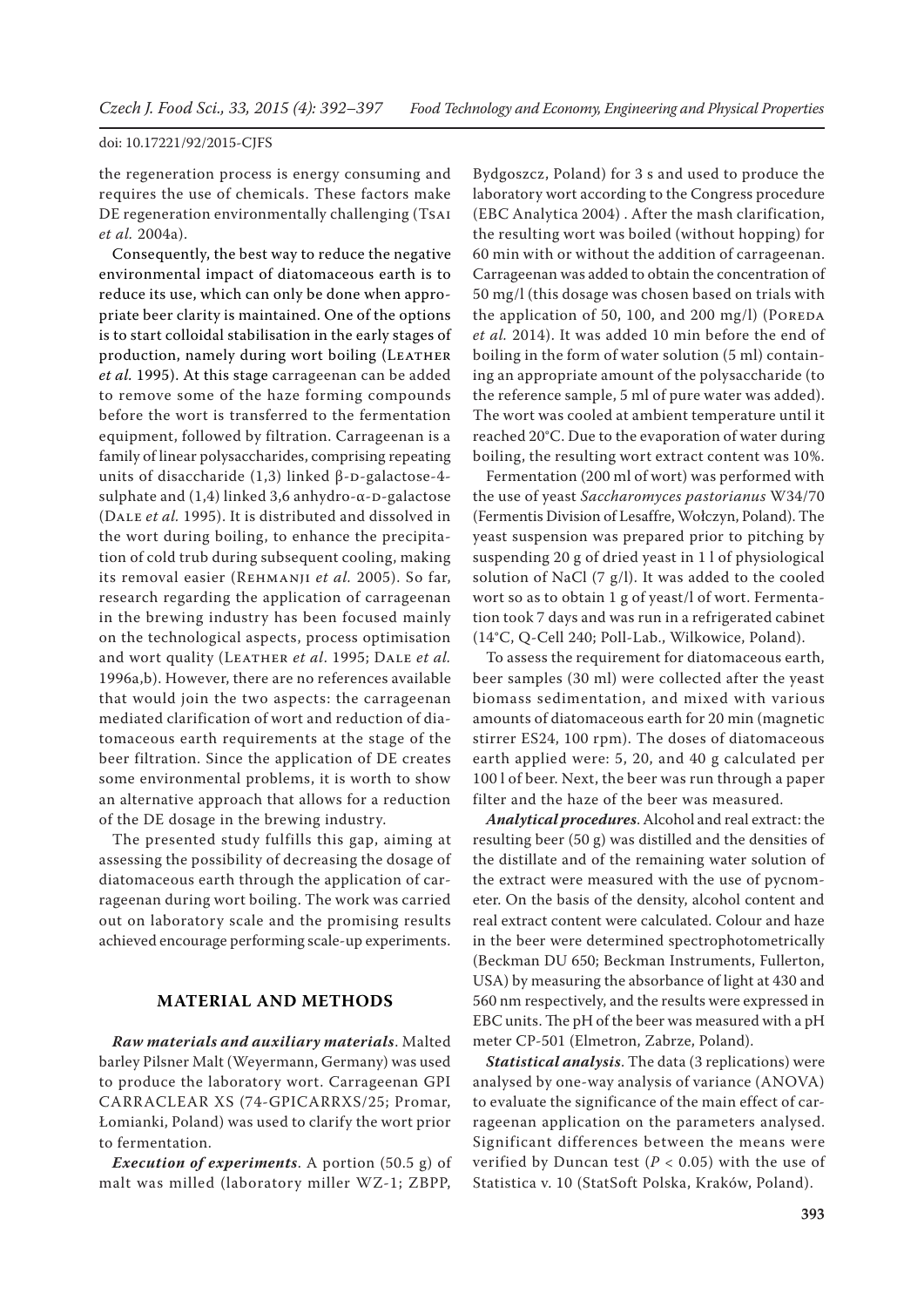the regeneration process is energy consuming and requires the use of chemicals. These factors make DE regeneration environmentally challenging (Tsai *et al.* 2004a).

Consequently, the best way to reduce the negative environmental impact of diatomaceous earth is to reduce its use, which can only be done when appropriate beer clarity is maintained. One of the options is to start colloidal stabilisation in the early stages of production, namely during wort boiling (LEATHER *et al.* 1995). At this stage carrageenan can be added to remove some of the haze forming compounds before the wort is transferred to the fermentation equipment, followed by filtration. Carrageenan is a family of linear polysaccharides, comprising repeating units of disaccharide (1,3) linked  $β$ -D-galactose-4sulphate and  $(1,4)$  linked 3,6 anhydro- $\alpha$ -D-galactose (Dale *et al.* 1995). It is distributed and dissolved in the wort during boiling, to enhance the precipitation of cold trub during subsequent cooling, making its removal easier (Rehmanji *et al.* 2005). So far, research regarding the application of carrageenan in the brewing industry has been focused mainly on the technological aspects, process optimisation and wort quality (LEATHER *et al.* 1995; DALE *et al.* 1996a,b). However, there are no references available that would join the two aspects: the carrageenan mediated clarification of wort and reduction of diatomaceous earth requirements at the stage of the beer filtration. Since the application of DE creates some environmental problems, it is worth to show an alternative approach that allows for a reduction of the DE dosage in the brewing industry.

The presented study fulfills this gap, aiming at assessing the possibility of decreasing the dosage of diatomaceous earth through the application of carrageenan during wort boiling. The work was carried out on laboratory scale and the promising results achieved encourage performing scale-up experiments.

# **MATERIAL AND METHODS**

*Raw materials and auxiliary materials*. Malted barley Pilsner Malt (Weyermann, Germany) was used to produce the laboratory wort. Carrageenan GPI CARRACLEAR XS (74-GPICARRXS/25; Promar, Łomianki, Poland) was used to clarify the wort prior to fermentation.

*Execution of experiments*. A portion (50.5 g) of malt was milled (laboratory miller WZ-1; ZBPP,

Bydgoszcz, Poland) for 3 s and used to produce the laboratory wort according to the Congress procedure (EBC Analytica 2004) . After the mash clarification, the resulting wort was boiled (without hopping) for 60 min with or without the addition of carrageenan. Carrageenan was added to obtain the concentration of 50 mg/l (this dosage was chosen based on trials with the application of 50, 100, and 200 mg/l) (POREDA *et al.* 2014). It was added 10 min before the end of boiling in the form of water solution (5 ml) containing an appropriate amount of the polysaccharide (to the reference sample, 5 ml of pure water was added). The wort was cooled at ambient temperature until it reached 20°C. Due to the evaporation of water during boiling, the resulting wort extract content was 10%.

Fermentation (200 ml of wort) was performed with the use of yeast *Saccharomyces pastorianus* W34/70 (Fermentis Division of Lesaffre, Wołczyn, Poland). The yeast suspension was prepared prior to pitching by suspending 20 g of dried yeast in 1 l of physiological solution of NaCl (7 g/l). It was added to the cooled wort so as to obtain 1 g of yeast/l of wort. Fermentation took 7 days and was run in a refrigerated cabinet (14°C, Q-Cell 240; Poll-Lab., Wilkowice, Poland).

To assess the requirement for diatomaceous earth, beer samples (30 ml) were collected after the yeast biomass sedimentation, and mixed with various amounts of diatomaceous earth for 20 min (magnetic stirrer ES24, 100 rpm). The doses of diatomaceous earth applied were: 5, 20, and 40 g calculated per 100 l of beer. Next, the beer was run through a paper filter and the haze of the beer was measured.

*Analytical procedures*. Alcohol and real extract: the resulting beer (50 g) was distilled and the densities of the distillate and of the remaining water solution of the extract were measured with the use of pycnometer. On the basis of the density, alcohol content and real extract content were calculated. Colour and haze in the beer were determined spectrophotometrically (Beckman DU 650; Beckman Instruments, Fullerton, USA) by measuring the absorbance of light at 430 and 560 nm respectively, and the results were expressed in EBC units. The pH of the beer was measured with a pH meter CP-501 (Elmetron, Zabrze, Poland).

*Statistical analysis*. The data (3 replications) were analysed by one-way analysis of variance (ANOVA) to evaluate the significance of the main effect of carrageenan application on the parameters analysed. Significant differences between the means were verified by Duncan test ( $P < 0.05$ ) with the use of Statistica v. 10 (StatSoft Polska, Kraków, Poland).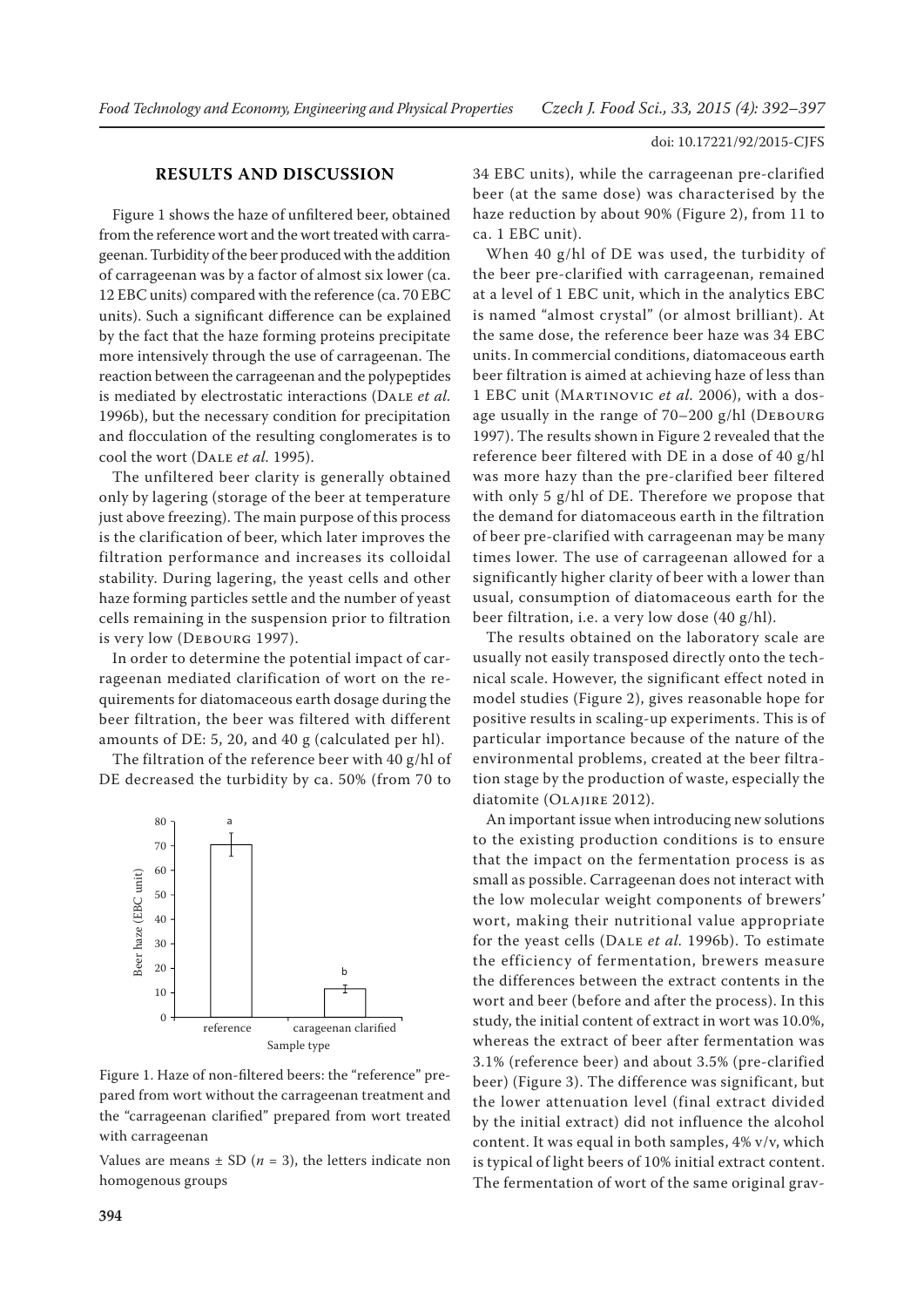# **RESULTS AND DISCUSSION**

Figure 1 shows the haze of unfiltered beer, obtained from the reference wort and the wort treated with carrageenan. Turbidity of the beer produced with the addition of carrageenan was by a factor of almost six lower (ca. 12 EBC units) compared with the reference (ca. 70 EBC units). Such a significant difference can be explained by the fact that the haze forming proteins precipitate more intensively through the use of carrageenan. The reaction between the carrageenan and the polypeptides is mediated by electrostatic interactions (Dale *et al.* 1996b), but the necessary condition for precipitation and flocculation of the resulting conglomerates is to cool the wort (Dale *et al.* 1995).

The unfiltered beer clarity is generally obtained only by lagering (storage of the beer at temperature just above freezing). The main purpose of this process is the clarification of beer, which later improves the filtration performance and increases its colloidal stability. During lagering, the yeast cells and other haze forming particles settle and the number of yeast cells remaining in the suspension prior to filtration is very low (Debourg 1997).

In order to determine the potential impact of carrageenan mediated clarification of wort on the requirements for diatomaceous earth dosage during the beer filtration, the beer was filtered with different amounts of DE: 5, 20, and 40 g (calculated per hl).

The filtration of the reference beer with 40 g/hl of DE decreased the turbidity by ca. 50% (from 70 to



Figure 1. Haze of non-filtered beers: the "reference" prepared from wort without the carrageenan treatment and the "carrageenan clarified" prepared from wort treated with carrageenan

Values are means  $\pm$  SD ( $n = 3$ ), the letters indicate non homogenous groups

34 EBC units), while the carrageenan pre-clarified beer (at the same dose) was characterised by the haze reduction by about 90% (Figure 2), from 11 to ca. 1 EBC unit).

When 40 g/hl of DE was used, the turbidity of the beer pre-clarified with carrageenan, remained at a level of 1 EBC unit, which in the analytics EBC is named "almost crystal" (or almost brilliant). At the same dose, the reference beer haze was 34 EBC units. In commercial conditions, diatomaceous earth beer filtration is aimed at achieving haze of less than 1 EBC unit (Martinovic *et al.* 2006), with a dosage usually in the range of 70-200 g/hl (DEBOURG 1997). The results shown in Figure 2 revealed that the reference beer filtered with DE in a dose of 40 g/hl was more hazy than the pre-clarified beer filtered with only 5 g/hl of DE. Therefore we propose that the demand for diatomaceous earth in the filtration of beer pre-clarified with carrageenan may be many times lower. The use of carrageenan allowed for a significantly higher clarity of beer with a lower than usual, consumption of diatomaceous earth for the beer filtration, i.e. a very low dose (40 g/hl).

The results obtained on the laboratory scale are usually not easily transposed directly onto the technical scale. However, the significant effect noted in model studies (Figure 2), gives reasonable hope for positive results in scaling-up experiments. This is of particular importance because of the nature of the environmental problems, created at the beer filtration stage by the production of waste, especially the diatomite (OLAJIRE 2012).

An important issue when introducing new solutions to the existing production conditions is to ensure that the impact on the fermentation process is as small as possible. Carrageenan does not interact with the low molecular weight components of brewers' wort, making their nutritional value appropriate for the yeast cells (Dale *et al.* 1996b). To estimate the efficiency of fermentation, brewers measure the differences between the extract contents in the wort and beer (before and after the process). In this study, the initial content of extract in wort was 10.0%, whereas the extract of beer after fermentation was 3.1% (reference beer) and about 3.5% (pre-clarified beer) (Figure 3). The difference was significant, but the lower attenuation level (final extract divided by the initial extract) did not influence the alcohol content. It was equal in both samples, 4% v/v, which is typical of light beers of 10% initial extract content. The fermentation of wort of the same original grav-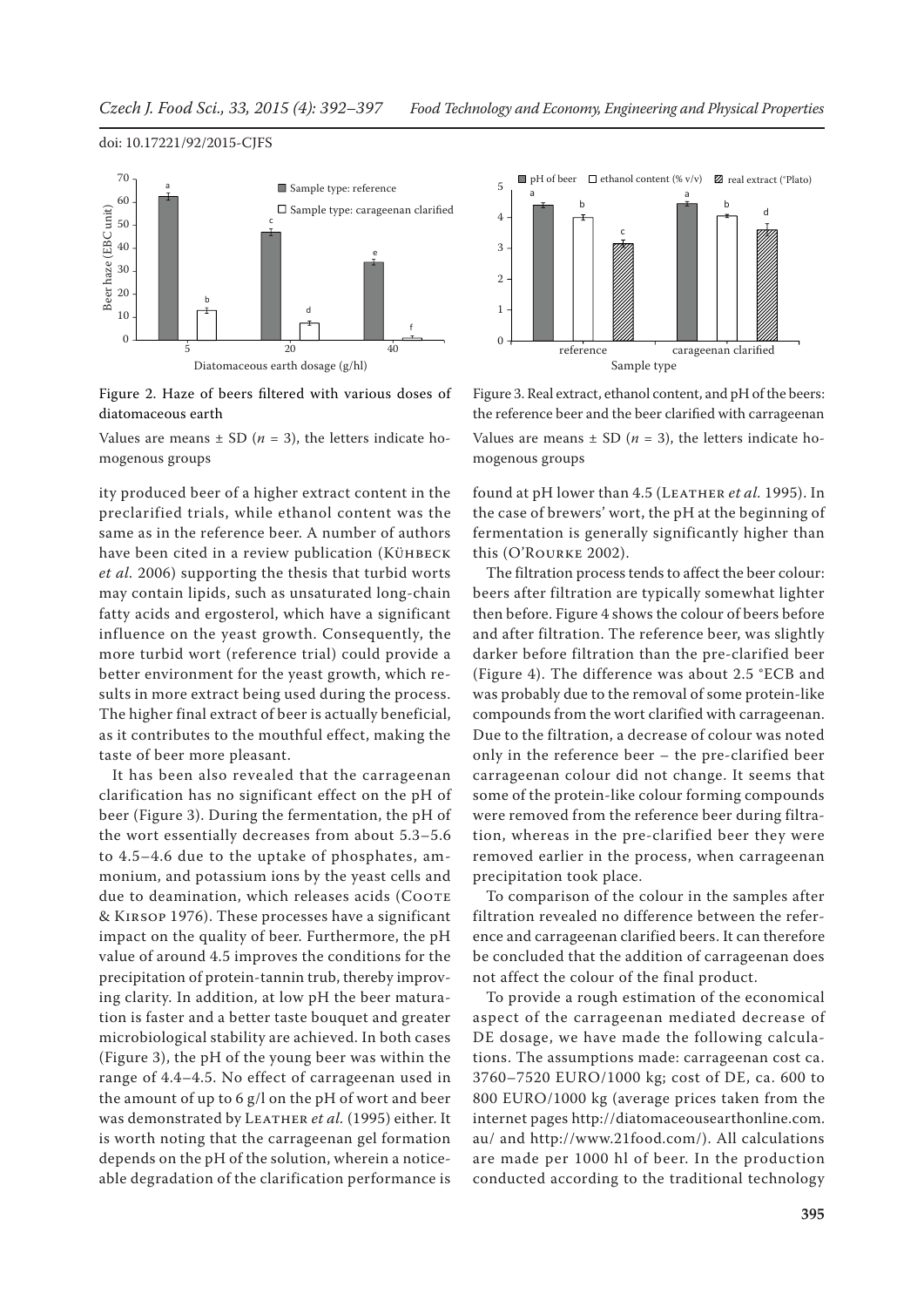



Values are means  $\pm$  SD ( $n = 3$ ), the letters indicate homogenous groups

ity produced beer of a higher extract content in the preclarified trials, while ethanol content was the same as in the reference beer. A number of authors have been cited in a review publication (KÜHBECK *et al.* 2006) supporting the thesis that turbid worts may contain lipids, such as unsaturated long-chain fatty acids and ergosterol, which have a significant influence on the yeast growth. Consequently, the more turbid wort (reference trial) could provide a better environment for the yeast growth, which results in more extract being used during the process. The higher final extract of beer is actually beneficial, as it contributes to the mouthful effect, making the taste of beer more pleasant.

It has been also revealed that the carrageenan clarification has no significant effect on the pH of beer (Figure 3). During the fermentation, the pH of the wort essentially decreases from about 5.3–5.6 to 4.5–4.6 due to the uptake of phosphates, ammonium, and potassium ions by the yeast cells and due to deamination, which releases acids (COOTE & Kirsop 1976). These processes have a significant impact on the quality of beer. Furthermore, the pH value of around 4.5 improves the conditions for the precipitation of protein-tannin trub, thereby improving clarity. In addition, at low pH the beer maturation is faster and a better taste bouquet and greater microbiological stability are achieved. In both cases (Figure 3), the pH of the young beer was within the range of 4.4–4.5. No effect of carrageenan used in the amount of up to 6 g/l on the pH of wort and beer was demonstrated by LEATHER et al. (1995) either. It is worth noting that the carrageenan gel formation depends on the pH of the solution, wherein a noticeable degradation of the clarification performance is



Figure 3. Real extract, ethanol content, and pH of the beers: the reference beer and the beer clarified with carrageenan Values are means  $\pm$  SD ( $n = 3$ ), the letters indicate homogenous groups

found at pH lower than 4.5 (LEATHER *et al.* 1995). In the case of brewers' wort, the pH at the beginning of fermentation is generally significantly higher than this (O'Rourke 2002).

The filtration process tends to affect the beer colour: beers after filtration are typically somewhat lighter then before. Figure 4 shows the colour of beers before and after filtration. The reference beer, was slightly darker before filtration than the pre-clarified beer (Figure 4). The difference was about 2.5 °ECB and was probably due to the removal of some protein-like compounds from the wort clarified with carrageenan. Due to the filtration, a decrease of colour was noted only in the reference beer – the pre-clarified beer carrageenan colour did not change. It seems that some of the protein-like colour forming compounds were removed from the reference beer during filtration, whereas in the pre-clarified beer they were removed earlier in the process, when carrageenan precipitation took place.

To comparison of the colour in the samples after filtration revealed no difference between the reference and carrageenan clarified beers. It can therefore be concluded that the addition of carrageenan does not affect the colour of the final product.

To provide a rough estimation of the economical aspect of the carrageenan mediated decrease of DE dosage, we have made the following calculations. The assumptions made: carrageenan cost ca. 3760–7520 EURO/1000 kg; cost of DE, ca. 600 to 800 EURO/1000 kg (average prices taken from the internet pages http://diatomaceousearthonline.com. au/ and http://www.21food.com/). All calculations are made per 1000 hl of beer. In the production conducted according to the traditional technology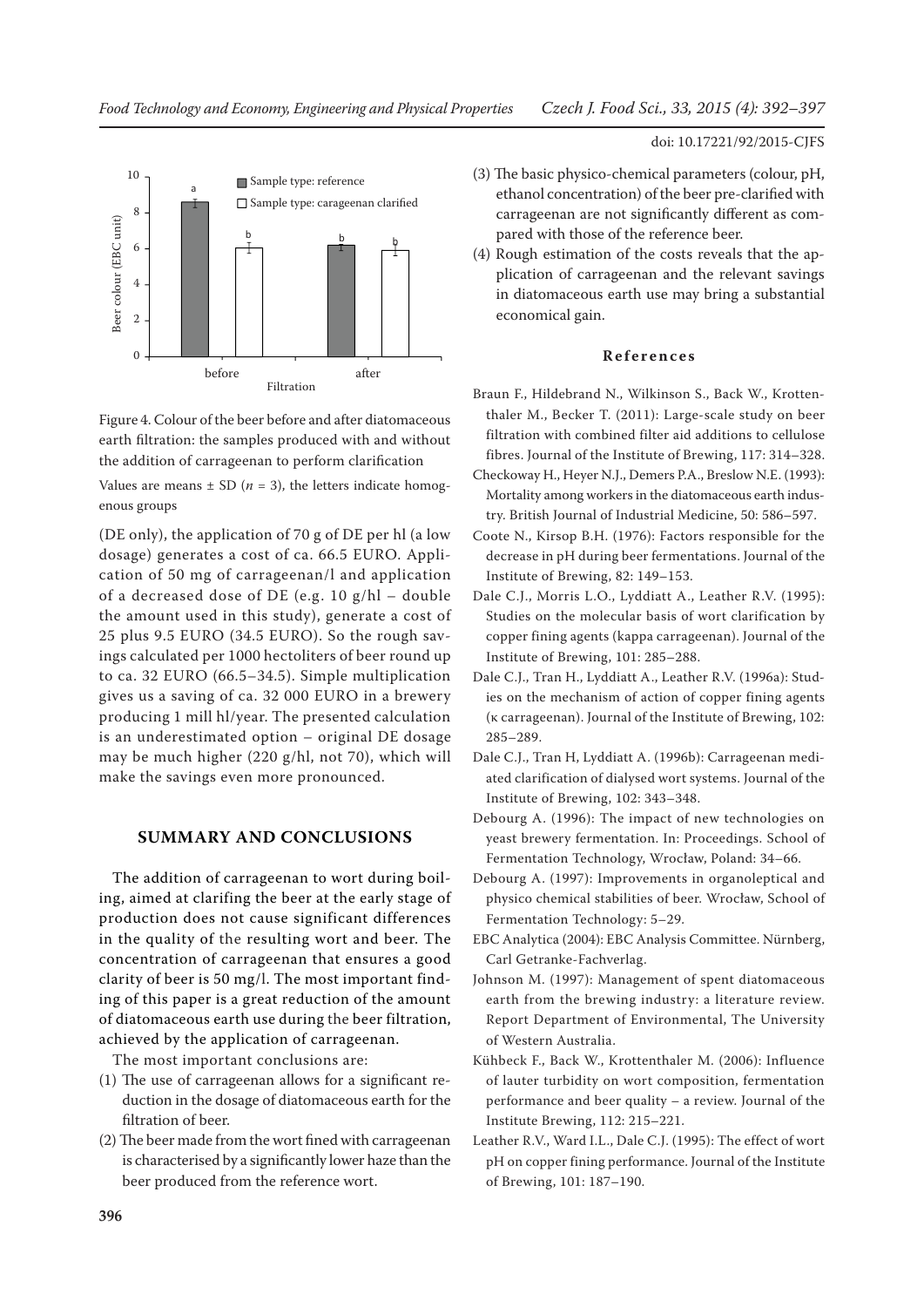

Figure 4. Colour of the beer before and after diatomaceous earth filtration: the samples produced with and without the addition of carrageenan to perform clarification

Values are means  $\pm$  SD ( $n = 3$ ), the letters indicate homogenous groups

(DE only), the application of 70 g of DE per hl (a low dosage) generates a cost of ca. 66.5 EURO. Application of 50 mg of carrageenan/l and application of a decreased dose of DE (e.g. 10 g/hl – double the amount used in this study), generate a cost of 25 plus 9.5 EURO (34.5 EURO). So the rough savings calculated per 1000 hectoliters of beer round up to ca. 32 EURO (66.5–34.5). Simple multiplication gives us a saving of ca. 32 000 EURO in a brewery producing 1 mill hl/year. The presented calculation is an underestimated option – original DE dosage may be much higher (220 g/hl, not 70), which will make the savings even more pronounced.

# **SUMMARY AND CONCLUSIONS**

The addition of carrageenan to wort during boiling, aimed at clarifing the beer at the early stage of production does not cause significant differences in the quality of the resulting wort and beer. The concentration of carrageenan that ensures a good clarity of beer is 50 mg/l. The most important finding of this paper is a great reduction of the amount of diatomaceous earth use during the beer filtration, achieved by the application of carrageenan.

The most important conclusions are:

- (1) The use of carrageenan allows for a significant reduction in the dosage of diatomaceous earth for the filtration of beer.
- (2) The beer made from the wort fined with carrageenan is characterised by a significantly lower haze than the beer produced from the reference wort.

doi: 10.17221/92/2015-CJFS

- (3) The basic physico-chemical parameters (colour, pH, ethanol concentration) of the beer pre-clarified with carrageenan are not significantly different as compared with those of the reference beer.
- (4) Rough estimation of the costs reveals that the application of carrageenan and the relevant savings in diatomaceous earth use may bring a substantial economical gain.

### **References**

- Braun F., Hildebrand N., Wilkinson S., Back W., Krottenthaler M., Becker T. (2011): Large-scale study on beer filtration with combined filter aid additions to cellulose fibres. Journal of the Institute of Brewing, 117: 314–328.
- Checkoway H., Heyer N.J., Demers P.A., Breslow N.E. (1993): Mortality among workers in the diatomaceous earth industry. British Journal of Industrial Medicine, 50: 586–597.
- Coote N., Kirsop B.H. (1976): Factors responsible for the decrease in pH during beer fermentations. Journal of the Institute of Brewing, 82: 149–153.
- Dale C.J., Morris L.O., Lyddiatt A., Leather R.V. (1995): Studies on the molecular basis of wort clarification by copper fining agents (kappa carrageenan). Journal of the Institute of Brewing, 101: 285–288.
- Dale C.J., Tran H., Lyddiatt A., Leather R.V. (1996a): Studies on the mechanism of action of copper fining agents (κ carrageenan). Journal of the Institute of Brewing, 102: 285–289.
- Dale C.J., Tran H, Lyddiatt A. (1996b): Carrageenan mediated clarification of dialysed wort systems. Journal of the Institute of Brewing, 102: 343–348.
- Debourg A. (1996): The impact of new technologies on yeast brewery fermentation. In: Proceedings. School of Fermentation Technology, Wrocław, Poland: 34–66.
- Debourg A. (1997): Improvements in organoleptical and physico chemical stabilities of beer. Wrocław, School of Fermentation Technology: 5–29.
- EBC Analytica (2004): EBC Analysis Committee. Nürnberg, Carl Getranke-Fachverlag.
- Johnson M. (1997): Management of spent diatomaceous earth from the brewing industry: a literature review. Report Department of Environmental, The University of Western Australia.
- Kühbeck F., Back W., Krottenthaler M. (2006): Influence of lauter turbidity on wort composition, fermentation performance and beer quality – a review. Journal of the Institute Brewing, 112: 215–221.
- Leather R.V., Ward I.L., Dale C.J. (1995): The effect of wort pH on copper fining performance. Journal of the Institute of Brewing, 101: 187–190.